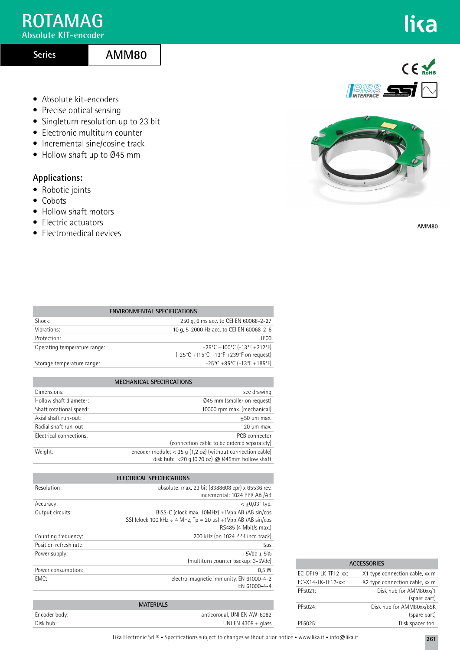# **ROTAMAG**

**Absolute KIT-encoder**

## **Series**

# **AMM80**

- Absolute kit-encoders
- Precise optical sensing
- Singleturn resolution up to 23 bit
- Electronic multiturn counter
- Incremental sine/cosine track
- Hollow shaft up to Ø45 mm

### **Applications:**

- Robotic joints
- Cobots
- Hollow shaft motors
- Electric actuators
- Electromedical devices



lika



**AMM80**

| <b>FNVIRONMENTAL SPECIFICATIONS</b> |                                                                          |  |  |  |
|-------------------------------------|--------------------------------------------------------------------------|--|--|--|
| Shock:                              | 250 g, 6 ms acc. to CEI EN 60068-2-27                                    |  |  |  |
| Vibrations:                         | 10 g, 5-2000 Hz acc. to CEI EN 60068-2-6                                 |  |  |  |
| Protection:                         | IP <sub>00</sub>                                                         |  |  |  |
| Operating temperature range:        | $-25^{\circ}$ C +100 $^{\circ}$ C (-13 $^{\circ}$ F +212 $^{\circ}$ F)   |  |  |  |
|                                     | $(-25^{\circ}C + 115^{\circ}C, -13^{\circ}F + 239^{\circ}F)$ on request) |  |  |  |
| Storage temperature range:          | $-25^{\circ}$ C +85 $^{\circ}$ C (-13 $^{\circ}$ F +185 $^{\circ}$ F)    |  |  |  |
|                                     |                                                                          |  |  |  |

| <b>MECHANICAL SPECIFICATIONS</b> |                                                                                                                   |  |  |  |
|----------------------------------|-------------------------------------------------------------------------------------------------------------------|--|--|--|
| Dimensions:                      | see drawing                                                                                                       |  |  |  |
| Hollow shaft diameter:           | Ø45 mm (smaller on request)                                                                                       |  |  |  |
| Shaft rotational speed:          | 10000 rpm max. (mechanical)                                                                                       |  |  |  |
| Axial shaft run-out:             | $±50 \mu m$ max.                                                                                                  |  |  |  |
| Radial shaft run-out:            | $20 \mu m$ max.                                                                                                   |  |  |  |
| Electrical connections:          | PCB connector<br>(connection cable to be ordered separately)                                                      |  |  |  |
| Weight:                          | encoder module: $<$ 35 g (1,2 oz) (without connection cable)<br>disk hub: < 20 q (0,70 oz) $@$ Ø45mm hollow shaft |  |  |  |

| ELECTRICAL SPECIFICATIONS |                                                                                                                                              |  |  |  |
|---------------------------|----------------------------------------------------------------------------------------------------------------------------------------------|--|--|--|
| Resolution:               | absolute: max. 23 bit (8388608 cpr) x 65536 rev.<br>incremental: 1024 PPR AB /AB                                                             |  |  |  |
| Accuracy:                 | $<$ +0.03 $^{\circ}$ typ.                                                                                                                    |  |  |  |
| Output circuits:          | BiSS-C (clock max. 10MHz) +1Vpp AB /AB sin/cos<br>SSI (clock 100 kHz $\div$ 4 MHz, Tp = 20 µs) +1Vpp AB /AB sin/cos<br>RS485 (4 Mbit/s max.) |  |  |  |
| Counting frequency:       | 200 kHz (on 1024 PPR incr. track)                                                                                                            |  |  |  |
| Position refresh rate:    | $5\mu s$                                                                                                                                     |  |  |  |
| Power supply:             | $+5$ Vdc + 5%<br>(multiturn counter backup: 3-5Vdc)                                                                                          |  |  |  |
| Power consumption:        | 0.5W                                                                                                                                         |  |  |  |
| <b>EMC:</b>               | electro-magnetic immunity, EN 61000-4-2<br>FN 61000-4-4                                                                                      |  |  |  |
|                           |                                                                                                                                              |  |  |  |

| <b>ACCESSORIES</b>   |                                          |  |  |  |
|----------------------|------------------------------------------|--|--|--|
| $FC-DF19-LK-TF12-xx$ | X1 type connection cable, xx m           |  |  |  |
| $FC-X14-LK-TF12-xx$  | X2 type connection cable, xx m           |  |  |  |
| PF5021:              | Disk hub for AMM80xx/1<br>(spare part)   |  |  |  |
| PF5024:              | Disk hub for AMM80xx/65K<br>(spare part) |  |  |  |
| PF5025:              | Disk spacer tool                         |  |  |  |

|               | <b>MATERIALS</b>            |
|---------------|-----------------------------|
| Encoder body: | anticorodal. UNI EN AW-6082 |
| Disk hub:     | UNI EN 4305 + glass         |

Lika Electronic Srl ® • Specifications subject to changes without prior notice • www.lika.it • info@lika.it